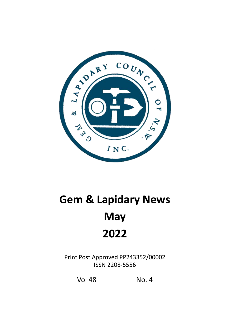

# **Gem & Lapidary News May 2022**

Print Post Approved PP243352/00002 ISSN 2208-5556

Vol 48 No. 4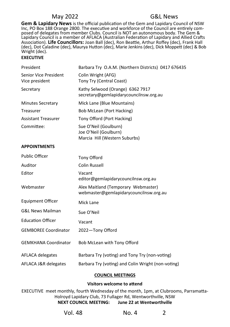**Gem & Lapidary News** is the official publication of the Gem and Lapidary Council of NSW Inc, PO Box 188 Orange 2800. The executive and workforce of the Council are entirely composed of delegates from member Clubs. Council is NOT an autonomous body. The Gem & Lapidary Council is a member of AFLACA (Australian Federation of Lapidary and Allied Crafts Association). **Life Councillors:** Joan Ball (dec), Ron Beattie, Arthur Roffey (dec), Frank Hall (dec), Dot Caladine (dec), Maurya Hutton (dec), Marie Jenkins (dec), Dick Moppett (dec) & Bob Wright (dec).

### **EXECUTIVE**

| President                               | Barbara Try O.A.M. (Northern Districts) 0417 676435                             |
|-----------------------------------------|---------------------------------------------------------------------------------|
| Senior Vice President<br>Vice president | Colin Wright (AFG)<br>Tony Try (Central Coast)                                  |
| Secretary                               | Kathy Selwood (Orange) 6362 7917<br>secretary@gemlapidarycouncilnsw.org.au      |
| <b>Minutes Secretary</b>                | Mick Lane (Blue Mountains)                                                      |
| Treasurer                               | Bob McLean (Port Hacking)                                                       |
| <b>Assistant Treasurer</b>              | Tony Offord (Port Hacking)                                                      |
| Committee:                              | Sue O'Neil (Goulburn)<br>Joe O'Neil (Goulburn)<br>Marcia Hill (Western Suburbs) |

### **APPOINTMENTS**

| <b>Public Officer</b>       | Tony Offord                                                                   |
|-----------------------------|-------------------------------------------------------------------------------|
| Auditor                     | <b>Colin Russell</b>                                                          |
| Editor                      | Vacant<br>editor@gemlapidarycouncilnsw.org.au                                 |
| Webmaster                   | Alex Maitland (Temporary Webmaster)<br>webmaster@gemlapidarycouncilnsw.org.au |
| <b>Equipment Officer</b>    | Mick Lane                                                                     |
| <b>G&amp;L News Mailman</b> | Sue O'Neil                                                                    |
| <b>Education Officer</b>    | Vacant                                                                        |
| <b>GEMBOREE Coordinator</b> | 2022-Tony Offord                                                              |
| <b>GEMKHANA Coordinator</b> | Bob McLean with Tony Offord                                                   |
| AFLACA delegates            | Barbara Try (voting) and Tony Try (non-voting)                                |
| AFLACA J&R delegates        | Barbara Try (voting) and Colin Wright (non-voting)                            |

### **COUNCIL MEETINGS**

### **Visitors welcome to attend**

EXECUTIVE meet monthly, fourth Wednesday of the month, 1pm, at Clubrooms, Parramatta-Holroyd Lapidary Club, 73 Fullager Rd, Wentworthville, NSW **NEXT COUNCIL MEETING: June 22 at Wentworthville** 

| Vol. 48<br>No. 4 | $\overline{2}$ |
|------------------|----------------|
|------------------|----------------|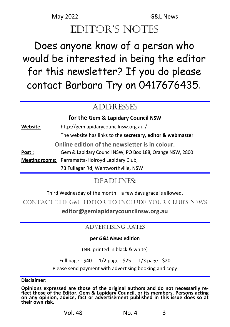# editor's notes

# Does anyone know of a person who would be interested in being the editor for this newsletter? If you do please contact Barbara Try on 0417676435*.*

# ADDRESSES

# **for the Gem & Lapidary Council NSW**

| Website:              | http://gemlapidarycouncilnsw.org.au/                       |
|-----------------------|------------------------------------------------------------|
|                       | The website has links to the secretary, editor & webmaster |
|                       | Online edition of the newsletter is in colour.             |
| Post :                | Gem & Lapidary Council NSW, PO Box 188, Orange NSW, 2800   |
| <b>Meeting rooms:</b> | Parramatta-Holroyd Lapidary Club,                          |
|                       | 73 Fullagar Rd, Wentworthville, NSW                        |

# Deadlines**:**

Third Wednesday of the month—a few days grace is allowed.

ContaCt the G&L editor to inCLude your CLub's news

**editor@gemlapidarycouncilnsw.org.au**

# ADVERTISING RATES

# **per** *G&L News* **edition**

(NB: printed in black & white)

Full page - \$40 1/2 page - \$25 1/3 page - \$20

Please send payment with advertising booking and copy

**Disclaimer:** 

**Opinions expressed are those of the original authors and do not necessarily reflect those of the Editor, Gem & Lapidary Council, or its members. Persons acting on any opinion, advice, fact or advertisement published in this issue does so at their own risk.**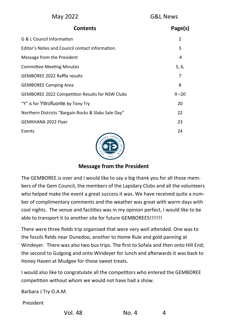| May 2022 |
|----------|
|----------|

| <b>Contents</b>                                        | Page(s)        |
|--------------------------------------------------------|----------------|
| G & L Council Information                              | $\mathfrak{p}$ |
| Editor's Notes and Council contact information.        | 3              |
| Message from the President                             | 4              |
| <b>Committee Meeting Minutes</b>                       | 5, 6,          |
| <b>GEMBOREE 2022 Raffle results</b>                    | 7              |
| <b>GEMBOREE Camping Area</b>                           | 8              |
| <b>GEMBOREE 2022 Competition Results for NSW Clubs</b> | $9 - 20$       |
| "Y" is for Yttrofluorite by Tony Try                   | 20             |
| Northern Districts "Bargain Rocks & Slabs Sale Day"    | 22             |
| GEMKHANA 2022 Flyer                                    | 23             |
| Events<br>$\cos v_{\psi}$                              | 24             |
|                                                        |                |



# **Message from the President**

The GEMBOREE.is over and I would like to say a big thank you for all those members of the Gem Council, the members of the Lapidary Clubs and all the volunteers who helped make the event a great success it was. We have received quite a number of complimentary comments and the weather was great with warm days with cool nights. The venue and facilities was in my opinion perfect, I would like to be able to transport it to another site for future GEMBOREES!!!!!!!

There were three fields trip organised that were very well attended. One was to the fossils fields near Dunedoo, another to Home Rule and gold panning at Windeyer. There was also two bus trips. The first to Sofala and then onto Hill End; the second to Gulgong and onto Windeyer for lunch and afterwards it was back to Honey Haven at Mudgee for those sweet treats.

I would also like to congratulate all the competitors who entered the GEMBOREE competition without whom we would not have had a show.

Barbara J Try O.A.M.

President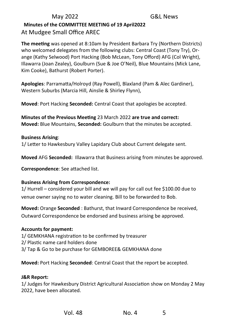# May 2022 G&L News  **Minutes of the COMMITTEE MEETING of 19 April2022**  At Mudgee Small Office AREC

**The meeting** was opened at 8:10am by President Barbara Try (Northern Districts) who welcomed delegates from the following clubs: Central Coast (Tony Try), Orange (Kathy Selwood) Port Hacking (Bob McLean, Tony Offord) AFG (Col Wright), Illawarra (Joan Zealey), Goulburn (Sue & Joe O'Neil), Blue Mountains (Mick Lane, Kim Cooke), Bathurst (Robert Porter).

**Apologies**: Parramatta/Holroyd (Ray Powell), Blaxland (Pam & Alec Gardiner), Western Suburbs (Marcia Hill, Ainslie & Shirley Flynn),

**Moved**: Port Hacking **Seconded:** Central Coast that apologies be accepted.

**Minutes of the Previous Meeting** 23 March 2022 **are true and correct: Moved:** Blue Mountains, **Seconded:** Goulburn that the minutes be accepted.

## **Business Arising**:

1/ Letter to Hawkesbury Valley Lapidary Club about Current delegate sent.

**Moved** AFG **Seconded:** Illawarra that Business arising from minutes be approved.

**Correspondence**: See attached list.

## **Business Arising from Correspondence:**

1/ Hurrell – considered your bill and we will pay for call out fee \$100.00 due to venue owner saying no to water cleaning. Bill to be forwarded to Bob.

**Moved:** Orange **Seconded** : Bathurst, that Inward Correspondence be received, Outward Correspondence be endorsed and business arising be approved.

## **Accounts for payment:**

- 1/ GEMKHANA registration to be confirmed by treasurer
- 2/ Plastic name card holders done
- 3/ Tap & Go to be purchase for GEMBOREE& GEMKHANA done

**Moved:** Port Hacking **Seconded**: Central Coast that the report be accepted.

### **J&R Report:**

1/ Judges for Hawkesbury District Agricultural Association show on Monday 2 May 2022, have been allocated.

| Vol. 48 | No. 4 | 5 |
|---------|-------|---|
|         |       |   |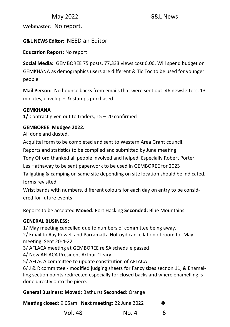**Webmaster**: No report.

# **G&L NEWS Editor:** NEED an Editor

**Education Report:** No report

**Social Media:** GEMBOREE 75 posts, 77,333 views cost 0.00, Will spend budget on GEMKHANA as demographics users are different & Tic Toc to be used for younger people.

**Mail Person:** No bounce backs from emails that were sent out. 46 newsletters, 13 minutes, envelopes & stamps purchased.

## **GEMKHANA**

**1/** Contract given out to traders, 15 – 20 confirmed

# **GEMBOREE**: **Mudgee 2022.**

All done and dusted.

Acquittal form to be completed and sent to Western Area Grant council.

Reports and statistics to be complied and submitted by June meeting

Tony Offord thanked all people involved and helped. Especially Robert Porter.

Les Hathaway to be sent paperwork to be used in GEMBOREE for 2023

Tailgating & camping on same site depending on site location should be indicated, forms revisited.

Wrist bands with numbers, different colours for each day on entry to be considered for future events

Reports to be accepted **Moved:** Port Hacking **Seconded:** Blue Mountains

## **GENERAL BUSINESS:**

1/ May meeting cancelled due to numbers of committee being away.

2/ Email to Ray Powell and Parramatta Holroyd cancellation of room for May meeting. Sent 20-4-22

3/ AFLACA meeting at GEMBOREE re SA schedule passed

4/ New AFLACA President Arthur Cleary

5/ AFLACA committee to update constitution of AFLACA

6/ J & R committee - modified judging sheets for Fancy sizes section 11, & Enamelling section points redirected especially for closed backs and where enamelling is done directly onto the piece.

# **General Business: Moved:** Bathurst **Seconded:** Orange

**Meeting closed:** 9.05am **Next meeting:** 22 June 2022 ♣

Vol. 48  $N_0$   $A$  6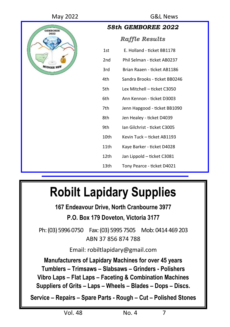

| 58th GEMBOREE 2022    |                               |  |  |
|-----------------------|-------------------------------|--|--|
| <b>Raffle Results</b> |                               |  |  |
| 1st                   | E. Holland - ticket BB1178    |  |  |
| 2 <sub>nd</sub>       | Phil Selman - ticket AB0237   |  |  |
| 3rd                   | Brian Raaen - ticket AB1186   |  |  |
| 4th                   | Sandra Brooks - ticket BB0246 |  |  |
| 5th                   | Lex Mitchell - ticket C3050   |  |  |
| 6th                   | Ann Kennon - ticket D3003     |  |  |
| 7th                   | Jenn Hapgood - ticket BB1090  |  |  |
| 8th                   | Jen Healey - ticket D4039     |  |  |
| 9th                   | Ian Gilchrist - ticket C3005  |  |  |
| 10th                  | Kevin Tuck - ticket AB1193    |  |  |
| 11th                  | Kaye Barker - ticket D4028    |  |  |
| 12th                  | Jan Lippold – ticket C3081    |  |  |
| 13th                  | Tony Pearce - ticket D4021    |  |  |

# **Robilt Lapidary Supplies**

**167 Endeavour Drive, North Cranbourne 3977 P.O. Box 179 Doveton, Victoria 3177**

Ph: (03) 5996 0750 Fax: (03) 5995 7505 Mob: 0414 469 203 ABN 37 856 874 788

Email: robiltlapidary@gmail.com

**Manufacturers of Lapidary Machines for over 45 years Tumblers – Trimsaws – Slabsaws – Grinders - Polishers Vibro Laps – Flat Laps – Faceting & Combination Machines Suppliers of Grits – Laps – Wheels – Blades – Dops – Discs.**

**Service – Repairs – Spare Parts - Rough – Cut – Polished Stones**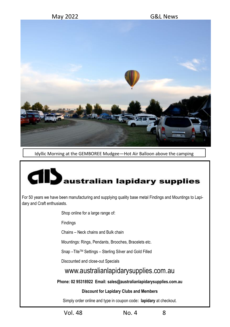

Idyllic Morning at the GEMBOREE Mudgee—Hot Air Balloon above the camping

# australian lapidary supplies

For 50 years we have been manufacturing and supplying quality base metal Findings and Mountings to Lapidary and Craft enthusiasts.

Shop online for a large range of:

Findings

Chains – Neck chains and Bulk chain

Mountings: Rings, Pendants, Brooches, Bracelets etc.

Snap –TiteTM Settings – Sterling Silver and Gold Filled

Discounted and close-out Specials

# www.australianlapidarysupplies.com.au

**Phone: 02 95318922 Email: sales@australianlapidarysupplies.com.au**

## **Discount for Lapidary Clubs and Members**

Simply order online and type in coupon code**: lapidary** at checkout.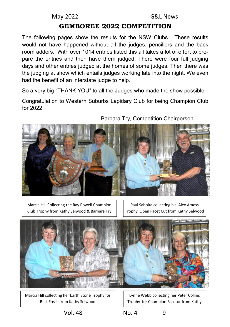# **GEMBOREE 2022 COMPETITION**

The following pages show the results for the NSW Clubs. These results would not have happened without all the judges, pencillers and the back room adders. With over 1014 entries listed this all takes a lot of effort to prepare the entries and then have them judged. There were four full judging days and other entries judged at the homes of some judges. Then there was the judging at show which entails judges working late into the night. We even had the benefit of an interstate judge to help.

So a very big "THANK YOU" to all the Judges who made the show possible.

Congratulation to Western Suburbs Lapidary Club for being Champion Club for 2022.



Barbara Try, Competition Chairperson

Marcia Hill Collecting the Ray Powell Champion Club Trophy from Kathy Selwood & Barbara Try

Paul Sabolta collecting his Alex Amess Trophy Open Facet Cut from Kathy Selwood



Marcia Hill collecting her Earth Stone Trophy for Best Fossil from Kathy Selwood

Lynne Webb collecting her Peter Collins Trophy for Champion Facetor from Kathy

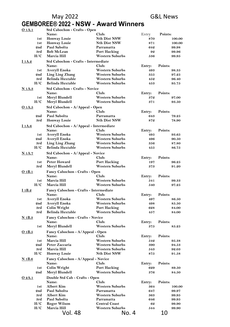# **GEMBOREE® 2022 - NSW - Award Winners**

| <u>O 1A.1</u> | Std Cabochon - Crafts - Open                      |                                                  |               |                  |
|---------------|---------------------------------------------------|--------------------------------------------------|---------------|------------------|
|               | Name:                                             | Club:                                            | Entry         | Points:          |
| 1st           | <b>Honway Louie</b>                               | <b>Nth Dist NSW</b>                              | 870           | 100.00           |
| 1st           | <b>Honway Louie</b>                               | <b>Nth Dist NSW</b>                              | 871           | 100.00           |
| 2nd           | Paul Sabolta                                      | Parramatta                                       | 642           | 99.98            |
| 3rd           | <b>Bob McLean</b>                                 | <b>Port Hacking</b>                              | 92            | 99.96            |
| H/C           | Marcia Hill                                       | <b>Western Suburbs</b>                           | 536           | 99.95            |
| <u>I 1A.2</u> | Std Cabochon - Crafts - Intermediate              |                                                  |               |                  |
|               | Name:                                             | Club:                                            | Entry:        | Points:          |
| 1st           | Averyll Enoka                                     | <b>Western Suburbs</b>                           | 493           | 98.35            |
| 2nd           | <b>Ling Ling Zhang</b><br><b>Belinda Huxtable</b> | <b>Western Suburbs</b><br><b>Western Suburbs</b> | 355           | 97.25            |
| 3rd<br>H/C    | <b>Belinda Huxtable</b>                           | <b>Western Suburbs</b>                           | 452<br>453    | 96.40<br>95.75   |
|               |                                                   |                                                  |               |                  |
| <b>N</b> 1A.3 | Std Cabochon - Crafts - Novice                    |                                                  |               |                  |
|               | Name:                                             | Club:<br>Western Suburbs                         | Entry:<br>372 | Points:<br>97.00 |
| 1st<br>H/C    | Meryl Blundell<br>Meryl Blundell                  | <b>Western Suburbs</b>                           | 371           | 93.50            |
|               |                                                   |                                                  |               |                  |
| 0.1A.5        | Std Cabochon - A/Appeal - Open                    |                                                  |               |                  |
| 2nd           | Name:<br>Paul Sabolta                             | Club:                                            | Entry:        | Points:          |
| 3rd           |                                                   | Parramatta<br><b>Nth Dist NSW</b>                | 643<br>872    | 79.25<br>78.90   |
|               | <b>Honway Louie</b>                               |                                                  |               |                  |
| <u>I 1A.6</u> | Std Cabochon - A/Appeal - Intermediate            |                                                  |               |                  |
|               | Name:                                             | Club:                                            | Entry:        | Points:          |
| 1st           | Averyll Enoka                                     | <b>Western Suburbs</b>                           | 495           | 93.65            |
| 2nd           | Averyll Enoka<br><b>Ling Ling Zhang</b>           | <b>Western Suburbs</b><br><b>Western Suburbs</b> | 496           | 90.50            |
| 3rd<br>H/C    | <b>Belinda Huxtable</b>                           | <b>Western Suburbs</b>                           | 356<br>455    | 87.80<br>86.75   |
|               |                                                   |                                                  |               |                  |
| <u>N 1A.7</u> | Std Cabochon - A/Appeal - Novice                  |                                                  |               |                  |
|               | Name:                                             | Club:                                            | Entry:        | Points:          |
| 1st<br>3rd    | <b>Peter Howard</b><br>Meryl Blundell             | <b>Port Hacking</b><br><b>Western Suburbs</b>    | 197<br>373    | 96.25<br>91.20   |
|               |                                                   |                                                  |               |                  |
| 0.1B.1        | Fancy Cabochon - Crafts - Open                    |                                                  |               |                  |
|               | Name:<br>Marcia Hill                              | Club:                                            | Entry:        | Points:          |
| 1st<br>H/C    |                                                   | <b>Western Suburbs</b><br><b>Western Suburbs</b> | 541           | 99.33            |
|               | Marcia Hill                                       |                                                  | 540           | 97.25            |
| <u>I 1B.2</u> | Fancy Cabochon - Crafts - Intermediate            |                                                  |               |                  |
|               | Name:                                             | Club:                                            | Entry:        | Points:          |
| 1st<br>2nd    | Averyll Enoka                                     | <b>Western Suburbs</b><br><b>Western Suburbs</b> | 497<br>498    | 86.50<br>85.50   |
| 3rd           | Averyll Enoka<br><b>Colin Wright</b>              | <b>Port Hacking</b>                              | 628           |                  |
| 3rd           | <b>Belinda Huxtable</b>                           | <b>Western Suburbs</b>                           | 457           | 84.00<br>84.00   |
|               |                                                   |                                                  |               |                  |
| $N$ 1B.3      | Fancy Cabochon - Crafts - Novice                  |                                                  |               |                  |
|               | Name:                                             | Club:                                            | Entry:<br>375 | Points:<br>85.25 |
| 1st           | Meryl Blundell                                    | <b>Western Suburbs</b>                           |               |                  |
| 0.1B.5        | Fancy Cabochon - A/Appeal - Open                  |                                                  |               |                  |
|               | Name:                                             | Club:                                            | Entry:        | Points:          |
| 1st           | Marcia Hill                                       | Western Suburbs                                  | 542           | 95.38            |
| 2nd<br>3rd    | Peter Zaccaria<br>Marcia Hill                     | <b>Western Suburbs</b><br>Western Suburbs        | 390<br>543    | 94.53<br>92.03   |
| H/C           | <b>Honway Louie</b>                               | <b>Nth Dist NSW</b>                              | 875           | 91.58            |
|               |                                                   |                                                  |               |                  |
| <u>N 1B.6</u> | Fancy Cabochon - A/Appeal - Novice                |                                                  |               |                  |
|               | Name:                                             | Club:                                            | Entry:        | Points:          |
| 1st           | <b>Colin Wright</b>                               | <b>Port Hacking</b>                              | 629<br>376    | 89.50            |
| 2nd           | Meryl Blundell                                    | <b>Western Suburbs</b>                           |               | 84.50            |
| O 2A.1        | Double Std Cab - Crafts - Open                    |                                                  |               |                  |
|               | Name:                                             | Club:                                            | Entry:        | Points:          |
| 1st           | Albert Kim                                        | Western Suburbs                                  | 364           | 100.00           |
| 2nd<br>3rd    | Paul Sabolta<br>Albert Kim                        | Parramatta<br><b>Western Suburbs</b>             | 647<br>363    | 99.97<br>99.95   |
| 3rd           | Paul Sabolta                                      | Parramatta                                       | 646           | 99.95            |
| H/C           | Roger Wilson                                      | <b>Central Coast</b>                             | 62            | 99.90            |
| H/C           | Marcia Hill                                       | <b>Western Suburbs</b>                           | 544           | 99.90            |
|               | Vol. 48                                           | No. 4                                            |               | 10               |
|               |                                                   |                                                  |               |                  |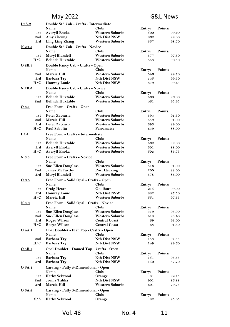| I 2A.2        | Double Std Cab - Crafts - Intermediate            |                              |               |                  |
|---------------|---------------------------------------------------|------------------------------|---------------|------------------|
|               | Name:                                             | Club:                        | Entry:        | Points:          |
| 1st           | Averyll Enoka                                     | <b>Western Suburbs</b>       | 500           | 99.40            |
| 2nd           | Amy Cheung                                        | <b>Nth Dist NSW</b>          | 862           | 99.00            |
| 3rd           | Ling Ling Zhang                                   | <b>Western Suburbs</b>       | 357           | 98.70            |
| N 2A.3        | Double Std Cab - Crafts - Novice                  |                              |               |                  |
|               | Name:                                             | Club:                        | Entry:        | Points:          |
| 1st           | Meryl Blundell                                    | <b>Western Suburbs</b>       | 377           | 97.50            |
| H/C           | <b>Belinda Huxtable</b>                           | <b>Western Suburbs</b>       | 458           | 90.50            |
| $O$ 2B.1      | Double Fancy Cab - Crafts - Open                  |                              |               |                  |
|               | Name:                                             | Club:                        | Entry:        | Points:          |
| 2nd           | Marcia Hill                                       | <b>Western Suburbs</b>       | 546           | 99.70            |
| 3rd           | <b>Barbara Try</b>                                | <b>Nth Dist NSW</b>          | 145           | 99.50            |
| H/C           | <b>Honway Louie</b>                               | <b>Nth Dist NSW</b>          | 879           | 99.45            |
| N 2B.2        | Double Fancy Cab - Crafts - Novice                |                              |               |                  |
|               | Name:                                             | Club:                        | Entry:        | Points:          |
| 1st           | <b>Belinda Huxtable</b>                           | <b>Western Suburbs</b>       | 460           | 96.00            |
| 2nd           | <b>Belinda Huxtable</b>                           | <b>Western Suburbs</b>       | 461           | 95.95            |
| 03.1          | Free Form - Crafts - Open                         |                              |               |                  |
|               | Name:                                             | Club:                        | Entry:        | Points:          |
| 1st           | Peter Zaccaria                                    | <b>Western Suburbs</b>       | 394           | 91.50            |
| 2nd           | Marcia Hill                                       | <b>Western Suburbs</b>       | 549           | 91.00            |
| 3rd           | Peter Zaccaria                                    | <b>Western Suburbs</b>       | 393           | 89.00            |
| H/C           | Paul Sabolta                                      | Parramatta                   | 649           | 88.00            |
| I 3.2         | Free Form - Crafts - Intermediate                 |                              |               |                  |
|               | Name:                                             | Club:                        | Entry:        | Points:          |
| 1st           | <b>Belinda Huxtable</b>                           | <b>Western Suburbs</b>       | 462           | 89.00            |
| 3rd           | Averyll Enoka                                     | <b>Western Suburbs</b>       | 501           | 88.00            |
| H/C           | Averyll Enoka                                     | <b>Western Suburbs</b>       | 502           | 86.75            |
| N 3.3         | Free Form - Crafts - Novice                       |                              |               |                  |
|               | Name:                                             | Club:                        | Entry:        | Points:          |
| 1st           | <b>Sue-Ellen Douglass</b>                         | <b>Western Suburbs</b>       | 416           | 91.00            |
| 2nd           | <b>James McCarthy</b>                             | <b>Port Hacking</b>          | 200           | 88.00            |
| 3rd           | Meryl Blundell                                    | <b>Western Suburbs</b>       | 378           | 86.00            |
| O 3.5         | Free Form - Solid Opal - Crafts - Open            |                              |               |                  |
|               | Name:                                             | Club:                        | Entry:        | Points:          |
| 1st           | <b>Craig Hearn</b>                                | Goulburn                     | 215           | 99.00            |
| 3rd           | <b>Honway Louie</b>                               | <b>Nth Dist NSW</b>          | 882           | 97.50            |
| H/C           | Marcia Hill                                       | <b>Western Suburbs</b>       | 551           | 97.35            |
|               |                                                   |                              |               |                  |
| N3.6          | Free Form - Solid Opal - Crafts - Novice<br>Name: | Club:                        | Entry:        | Points:          |
| 1st           | <b>Sue-Ellen Douglass</b>                         | <b>Western Suburbs</b>       | 419           | 95.90            |
| 2nd           | <b>Sue-Ellen Douglass</b>                         | <b>Western Suburbs</b>       | 418           | 93.40            |
| 3rd           | <b>Roger Wilson</b>                               | <b>Central Coast</b>         | 69            | 93.00            |
| H/C           | <b>Roger Wilson</b>                               | <b>Central Coast</b>         | 68            | 91.60            |
|               | Opal Doublet - Flat Top - Crafts - Open           |                              |               |                  |
| <u>O</u> 4A.1 | Name:                                             | Club:                        | Entry:        | Points:          |
| 2nd           | <b>Barbara Try</b>                                | <b>Nth Dist NSW</b>          | 148           | 97.55            |
| H/C           | <b>Barbara Try</b>                                | <b>Nth Dist NSW</b>          | 149           | 89.60            |
|               |                                                   |                              |               |                  |
| O 4B.1        | Opal Doublet - Domed Top - Crafts - Open          |                              |               |                  |
| 1st           | Name:<br><b>Barbara Try</b>                       | Club:<br><b>Nth Dist NSW</b> | Entry:<br>151 | Points:<br>93.65 |
| 3rd           | Barbara Try                                       | <b>Nth Dist NSW</b>          | 150           | 87.20            |
|               |                                                   |                              |               |                  |
| 05A.1         | Carving - Fully 3-Dimensional - Open              |                              |               |                  |
|               | Name:                                             | Club:                        | Entry:        | Points:          |
| 1st           | <b>Kathy Selwood</b>                              | Orange                       | 81            | 92.75            |
| 2nd<br>3rd    | Jorma Tahka                                       | <b>Nth Dist NSW</b>          | 901           | 86.88            |
|               | Marcia Hill                                       | <b>Western Suburbs</b>       | 601           | 79.75            |
| O 5A.2        | Carving - Fully 3-Dimensional - Open              |                              |               |                  |
|               | Name:                                             | Club:                        | Entry:        | Points:          |
| S/A           | <b>Kathy Selwood</b>                              | Orange                       | 82            | 95.05            |
|               |                                                   |                              |               |                  |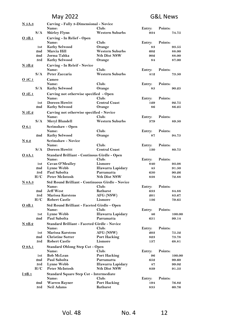| <u>N 5A.3</u>      | Carving - Fully 3-Dimensional - Novice                |                                                  |        |         |
|--------------------|-------------------------------------------------------|--------------------------------------------------|--------|---------|
|                    | Name:                                                 | Club:                                            | Entry: | Points: |
| S/A                | <b>Shirley Flynn</b>                                  | <b>Western Suburbs</b>                           | 934    | 74.75   |
| O 5B.1             | Carving - In Relief - Open                            |                                                  |        |         |
|                    | Name:                                                 | Club:                                            | Entry: | Points: |
| 1st                | <b>Kathy Selwood</b>                                  | Orange                                           | 83     | 93.55   |
| 2nd                | Marcia Hill                                           | <b>Western Suburbs</b>                           | 602    | 88.00   |
| 2nd                | Jorma Tahka                                           | <b>Nth Dist NSW</b>                              | 902    | 88.00   |
| 3rd                | <b>Kathy Selwood</b>                                  | Orange                                           | 84     | 87.00   |
| N 5B.2             | Carving - In Releif - Novice                          |                                                  |        |         |
|                    | Name:                                                 | Club:                                            | Entry: | Points: |
| S/A                | Peter Zaccaria                                        | <b>Western Suburbs</b>                           | 412    | 73.50   |
| 05C.1              | Cameo                                                 |                                                  |        |         |
|                    | Name:                                                 | Club:                                            | Entry: | Points: |
| S/A                | <b>Kathy Selwood</b>                                  | Orange                                           | 85     | 90.25   |
|                    |                                                       |                                                  |        |         |
| O <sub>5</sub> E.1 | Carving not otherwise specified - Open                |                                                  |        |         |
|                    | Name:                                                 | Club:                                            | Entry: | Points: |
| 1st<br>2nd         | <b>Doreen Howitt</b>                                  | <b>Central Coast</b>                             | 129    | 92.75   |
|                    | <b>Kathy Selwood</b>                                  | Orange                                           | 86     | 86.25   |
| <u>N 5E.2</u>      | Carving not otherwise specified - Novice              |                                                  |        |         |
|                    | Name:                                                 | Club:                                            | Entry: | Points: |
| S/A                | Meryl Blundell                                        | Western Suburbs                                  | 379    | 89.50   |
| 06.1               | Scrimshaw - Open                                      |                                                  |        |         |
|                    | Name:                                                 | Club:                                            | Entry: | Points: |
| 2nd                | <b>Kathy Selwood</b>                                  | Orange                                           | 87     | 94.75   |
| $N$ 6.2            | Scrimshaw - Novice                                    |                                                  |        |         |
|                    | Name:                                                 | Club:                                            | Entry: | Points: |
| S/A                | <b>Doreen Howitt</b>                                  | <b>Central Coast</b>                             | 130    | 80.75   |
|                    |                                                       |                                                  |        |         |
| O 8A.1             | Standard Brilliant - Continous Girdle - Open<br>Name: | Club:                                            |        | Points: |
|                    |                                                       |                                                  | Entry: |         |
| 1st                | Cavan O'Mealley                                       | Lismore                                          | 840    | 93.08   |
| 2nd                | Lynne Webb                                            | Illawarra Lapidary                               | 45     | 91.50   |
| 3rd                | Paul Sabolta                                          | Parramatta                                       | 650    | 90.26   |
| H/C                | Peter McIntosh                                        | <b>Nth Dist NSW</b>                              | 838    | 72.88   |
| N 8A.3             |                                                       | Std Round Brilliant - Continuous Girdle - Novice |        |         |
|                    | Name:                                                 | Club:                                            | Entry: | Points: |
| 2nd                | <b>Jeff West</b>                                      | <b>Bathurst</b>                                  | 633    | 84.88   |
| 3rd                | <b>Marissa Karstens</b>                               | AFG (NSW)                                        | 201    | 83.67   |
| H/C                | <b>Robert Castle</b>                                  | Lismore                                          | 136    | 79.65   |
| $O$ 8B.1           | Std Round Brilliant - Faceted Girdle - Open           |                                                  |        |         |
|                    | Name:                                                 | Club:                                            | Entry: | Points: |
| 1st                | Lynne Webb                                            | Illawarra Lapidary                               | 46     | 100.00  |
| 2nd                | Paul Sabolta                                          | Parramatta                                       | 651    | 99.14   |
| N 8B.2             | Standard Brilliant - Faceted Girdle - Novice          |                                                  |        |         |
|                    | Name:                                                 | Club:                                            | Entry: | Points: |
| 1st                | <b>Marissa Karstens</b>                               | AFG (NSW)                                        | 203    | 75.52   |
| 2nd                | <b>Christine Sutter</b>                               | <b>Port Hacking</b>                              | 823    | 73.78   |
| 3rd                | <b>Robert Castle</b>                                  | Lismore                                          | 137    | 68.81   |
|                    |                                                       |                                                  |        |         |
| O 9A.1             | <b>Standard Oblong Step Cut - Open</b>                |                                                  |        |         |
|                    | Name:                                                 | Club:                                            | Entry: | Points: |
| 1st                | <b>Bob McLean</b>                                     | <b>Port Hacking</b>                              | 96     | 100.00  |
| 2nd                | Paul Sabolta                                          | Parramatta                                       | 652    | 99.60   |
| 3rd                | Lynne Webb                                            | Illawarra Lapidary                               | 47     | 99.02   |
| H/C                | Peter McIntosh                                        | <b>Nth Dist NSW</b>                              | 839    | 91.53   |
| <u>I 9B.1</u>      | <b>Standard Square Step Cut - Intermediate</b>        |                                                  |        |         |
|                    | Name:                                                 | Club:                                            | Entry: | Points: |
| 2nd                | Warren Rayner                                         | <b>Port Hacking</b>                              | 194    | 76.82   |
| 3rd                | <b>Neil Adams</b>                                     | Bathurst                                         | 835    | 60.76   |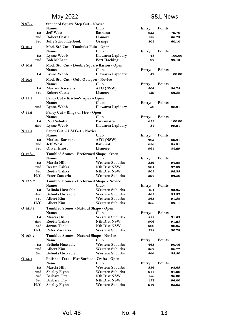| <u>N 9B.2</u> | <b>Standard Square Step Cut - Novice</b>                  |                                            |               |                |
|---------------|-----------------------------------------------------------|--------------------------------------------|---------------|----------------|
|               | Name:                                                     | Club:                                      | Entry:        | Points:        |
| 1st           | <b>Jeff West</b>                                          | <b>Bathurst</b>                            | 635           | 79.70          |
| 2nd           | <b>Robert Castle</b>                                      | Lismore                                    | 138           | 66.23          |
| 3rd           | Julie Schoonderbeek                                       | Orange                                     | 803           | 60.10          |
| 010.1         | Mod. Std Cut - Tumbuka Fulu - Open                        |                                            |               |                |
|               | Name:                                                     | Club:                                      | Entry:        | Points:        |
| 1st           | <b>Lynne Webb</b>                                         | <b>Illawarra Lapidary</b>                  | 48            | 100.00         |
| 2nd           | <b>Bob McLean</b>                                         | Port Hacking                               | 97            | 99.43          |
| O 10.2        | Mod. Std. Cut - Double Square Barion - Open               |                                            |               |                |
|               | Name:                                                     | Club:                                      | Entry:        | Points:        |
| 1st           | Lynne Webb                                                | Illawarra Lapidary                         | 49            | 100.00         |
| <u>N 10.4</u> | Mod. Std. Cut - Gold Octagon - Novice                     |                                            |               |                |
|               | Name:                                                     | Club:                                      | Entry:        | Points:        |
| 1st           | <b>Marissa Karstens</b>                                   | AFG (NSW)                                  | 204           | 86.75          |
| 3rd           | <b>Robert Castle</b>                                      | Lismore                                    | 139           | 62.58          |
| O 11.1        | Fancy Cut - Kristen's Apex - Open                         |                                            |               |                |
|               | Name:                                                     | Club:                                      | Entry:        | Points:        |
| 2nd           | Lynne Webb                                                | Illawarra Lapidary                         | 50            | 98.91          |
| O 11.2        | Fancy Cut - Rings of Fire - Open                          |                                            |               |                |
|               | Name:                                                     | Club:                                      | Entry:        | Points:        |
| 1st           | Paul Sabolta                                              | Parramatta                                 | 653           | 100.00         |
| 2nd           | Lynne Webb                                                | Illawarra Lapidary                         | 51            | 99.21          |
| N 11.4        | Fancy Cut - USFG-1 - Novice                               |                                            |               |                |
|               | Name:                                                     | Club:                                      | Entry:        | Points:        |
| 1st           | <b>Marissa Karstens</b>                                   | AFG (NSW)                                  | $\bf 205$     | 89.21          |
| 2nd           | <b>Jeff West</b>                                          | <b>Bathurst</b>                            | 636           | 85.81          |
| 3rd           | <b>Oliver Eliott</b>                                      | Lismore                                    | 961           | 84.29          |
| O 12A.1       | Tumbled Stones - Preformed Shape - Open                   |                                            |               |                |
|               | Name:                                                     | Club:                                      | Entry:        | Points:        |
| 1st           | Marcia Hill                                               | <b>Western Suburbs</b>                     | 552           | 94.28          |
| 2nd           | Reetta Tahka<br>Reetta Tahka                              | <b>Nth Dist NSW</b><br><b>Nth Dist NSW</b> | 904           | 92.89          |
| 3rd<br>H/C    | Peter Zaccaria                                            | <b>Western Suburbs</b>                     | 903<br>397    | 92.85<br>92.50 |
|               |                                                           |                                            |               |                |
| N 12A.2       | <b>Tumbled Stones - Preformed Shape - Novice</b><br>Name: | Club:                                      |               | Points:        |
| 1st           | <b>Belinda Huxtable</b>                                   | <b>Western Suburbs</b>                     | Entry:<br>464 | 93.95          |
| 2nd           | <b>Belinda Huxtable</b>                                   | <b>Western Suburbs</b>                     | 463           | 93.87          |
| 3rd           | <b>Albert Kim</b>                                         | <b>Western Suburbs</b>                     | 365           | 91.58          |
| H/C           | <b>Albert Kim</b>                                         | <b>Western Suburbs</b>                     | 366           | 89.11          |
| O 12B.1       | Tumbled Stones - Natural Shape - Open                     |                                            |               |                |
|               | Name:                                                     | Club:                                      | Entry:        | Points:        |
| 1st           | Marcia Hill                                               | <b>Western Suburbs</b>                     | 555           | 91.63          |
| 2nd           | Reetta Tahka                                              | <b>Nth Dist NSW</b>                        | 906           | 91.23          |
| 3rd           | Jorma Tahka                                               | <b>Nth Dist NSW</b>                        | 900           | 90.85          |
| H/C           | Peter Zaccaria                                            | <b>Western Suburbs</b>                     | 398           | 90.78          |
| N 12B.2       | Tumbled Stones - Natural Shape - Novice                   |                                            |               |                |
|               | Name:                                                     | Club:                                      | Entry:        | Points:        |
| 1st           | <b>Belinda Huxtable</b>                                   | <b>Western Suburbs</b>                     | 465           | 90.46          |
| 2nd           | Albert Kim                                                | <b>Western Suburbs</b>                     | 367           | 86.72          |
| 3rd           | Belinda Huxtable                                          | <b>Western Suburbs</b>                     | 466           | 85.50          |
| 0.13.1        | Polished Face - Flat Surface - Crafts - Open              |                                            |               |                |
|               | Name:                                                     | Club:                                      | Entry:        | Points:        |
| 1st           | Marcia Hill                                               | <b>Western Suburbs</b>                     | 556           | 98.65          |
| 2nd           | Shirley Flynn                                             | <b>Western Suburbs</b>                     | 911           | 97.00          |
| 3rd           | <b>Barbara Try</b>                                        | <b>Nth Dist NSW</b>                        | 156           | 96.00          |
| 3rd           | Barbara Try                                               | <b>Nth Dist NSW</b>                        | 157           | 96.00          |
| H/C           | <b>Shirley Flynn</b>                                      | Western Suburbs                            | 912           | 95.05          |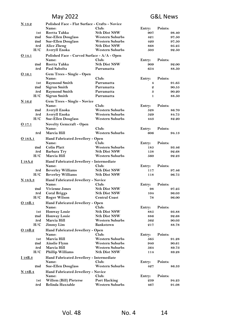| <u>N 13.2</u>  | Polished Face - Flat Surface - Crafts - Novice |                        |                         |                |
|----------------|------------------------------------------------|------------------------|-------------------------|----------------|
|                | Name:                                          | Club:                  | Entry:                  | Points:        |
| 1st            | Reetta Tahka                                   | <b>Nth Dist NSW</b>    | 907                     | 98.40          |
| 2nd            | <b>Sue-Ellen Douglass</b>                      | Western Suburbs        | 421                     | 97.50          |
| 2nd            | <b>Sue-Ellen Douglass</b>                      | <b>Western Suburbs</b> | 420                     | 97.50          |
| 3rd            | Alice Zheng                                    | <b>Nth Dist NSW</b>    | 868                     | 95.25          |
| H/C            | Averyll Enoka                                  | <b>Western Suburbs</b> | 503                     | 92.50          |
| 014.1          | Polished Face - Curved Surface - A/A - Open    |                        |                         |                |
|                | Name:                                          | Club:                  | Entry:                  | Points:        |
| 2nd            | Reetta Tahka                                   | <b>Nth Dist NSW</b>    | 909                     | 92.00          |
| 3rd            | Paul Sabolta                                   | Parramatta             | 654                     | 88.50          |
| 0.16.1         | Gem Trees - Single - Open                      |                        |                         |                |
|                | Name:                                          | Club:                  | Entry:                  | Points:        |
| 1st            | <b>Raymond Smith</b>                           | Parramatta             | $\overline{\mathbf{4}}$ | 91.65          |
| 2nd            | Sigrun Smith                                   | Parramatta             | $\boldsymbol{2}$        | 90.55          |
| 3rd            | <b>Raymond Smith</b>                           | Parramatta             | 3                       | 90.20          |
| H/C            | <b>Sigrun Smith</b>                            | Parramatta             | $\mathbf{1}$            | 88.50          |
| $N$ 16.2       | <b>Gem Trees - Single - Novice</b>             |                        |                         |                |
|                | Name:                                          | Club:                  | Entry:                  | Points:        |
| 2nd            | Averyll Enoka                                  | <b>Western Suburbs</b> | 528                     | 86.70          |
| 3rd            | Averyll Enoka                                  | <b>Western Suburbs</b> | 529                     | 84.75          |
| H/C            | <b>Sue-Ellen Douglass</b>                      | <b>Western Suburbs</b> | 443                     | 82.20          |
|                |                                                |                        |                         |                |
| 0.17.1         | <b>Novelty Gemcraft - Open</b><br>Name:        | Club:                  |                         |                |
|                |                                                | <b>Western Suburbs</b> | Entry:                  | Points:        |
| 3rd            | Marcia Hill                                    |                        | 606                     | 94.13          |
| O 18A.1        | Hand Fabricated Jewellery - Open               |                        |                         |                |
|                | Name:                                          | Club:                  | Entry:                  | Points:        |
| 2nd            | <b>Colin Platt</b>                             | <b>Western Suburbs</b> | 185                     | 93.46          |
| 3rd            | <b>Barbara Try</b>                             | Nth Dist NSW           | 158                     | 92.68          |
| H/C            | Marcia Hill                                    | <b>Western Suburbs</b> | 560                     | 92.23          |
| <u>I 18A.2</u> | Hand Fabricated Jewellery - Intermediate       |                        |                         |                |
|                | Name:                                          | Club:                  | Entry:                  | Points:        |
| 3rd            | <b>Beverley Williams</b>                       | <b>Nth Dist NSW</b>    | 117                     | 97.46          |
| H/C            | <b>Beverley Williams</b>                       | <b>Nth Dist NSW</b>    | 118                     | 96.75          |
| N 18A.3        | Hand Fabricated Jewellery - Novice             |                        |                         |                |
|                | Name:                                          | Club:                  | Entry:                  | Points:        |
| 2nd            | <b>Vivienne Jones</b>                          | <b>Nth Dist NSW</b>    | 98                      | 97.25          |
| 3rd            | Coral Briggs                                   | <b>Nth Dist NSW</b>    | 104                     | 96.03          |
| H/C            | <b>Roger Wilson</b>                            | <b>Central Coast</b>   | 78                      | 96.00          |
| O 18B.1        | Hand Fabricated Jewellery - Open               |                        |                         |                |
|                | Name:                                          | Club:                  | Entry:                  | Points:        |
| 1st            | <b>Honway Louie</b>                            | <b>Nth Dist NSW</b>    | 885                     | 93.88          |
| 2nd            | <b>Honway Louie</b>                            | <b>Nth Dist NSW</b>    | 886                     | 92.68          |
| 3rd            | Marcia Hill                                    | <b>Western Suburbs</b> | 562                     | 90.03          |
| H/C            | <b>Jimmy Lim</b>                               | <b>Bankstown</b>       | 217                     | 88.78          |
| O 18B.2        | Hand Fabricated Jewellery - Open               |                        |                         |                |
|                | Name:                                          | Club:                  | Entry:                  | Points:        |
| 1st            | Marcia Hill                                    | <b>Western Suburbs</b> | 565                     | 91.28          |
|                | <b>Ainslie Flynn</b>                           | <b>Western Suburbs</b> |                         |                |
| 2nd<br>3rd     | Marcia Hill                                    | <b>Western Suburbs</b> | 940<br>564              | 90.61<br>89.73 |
| H/C            |                                                | <b>Nth Dist NSW</b>    |                         |                |
|                | <b>Phillip Williams</b>                        |                        | 114                     | 89.28          |
| I 18B.3        | Hand Fabricated Jewellery - Intermediate       |                        |                         |                |
|                | Name:                                          | Club:                  | Entry:                  | Points:        |
| 2nd            | <b>Sue-Ellen Douglass</b>                      | <b>Western Suburbs</b> | 427                     | 86.33          |
| N 18B.4        | Hand Fabricated Jewellery - Novice             |                        |                         |                |
|                | Name:                                          | Club:                  | Entry:                  | Points:        |
| 1st            | Willem (Bill) Pieterse                         | <b>Port Hacking</b>    | 239                     | 94.25          |
| 3rd            | Belinda Huxtable                               | <b>Western Suburbs</b> | 467                     | 91.08          |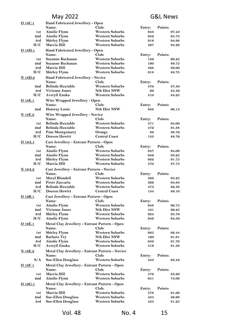| <u>O 18C.1</u> | Hand Fabricated Jewellery - Open                             |                                                  |                   |                  |  |
|----------------|--------------------------------------------------------------|--------------------------------------------------|-------------------|------------------|--|
|                | Name:                                                        | Club:                                            | Entry:<br>Points: |                  |  |
| 1st            | <b>Ainslie Flynn</b>                                         | <b>Western Suburbs</b>                           | 943               | 97.43            |  |
| 2nd            | <b>Ainslie Flynn</b>                                         | <b>Western Suburbs</b>                           | 942               | 95.73            |  |
| 3rd            | <b>Shirley Flynn</b>                                         | <b>Western Suburbs</b>                           | 916               | 94.98            |  |
| H/C            | Marcia Hill                                                  | <b>Western Suburbs</b>                           | 567               | 94.20            |  |
| O 18D.1        | Hand Fabricated Jewellery - Open                             |                                                  |                   |                  |  |
|                | Name:                                                        | Club:                                            | Entry:            | Points:          |  |
| 1st            | Suzanne Buchanan<br>Suzanne Buchanan                         | <b>Western Suburbs</b><br><b>Western Suburbs</b> | 189               | 90.25            |  |
| 2nd<br>3rd     | Marcia Hill                                                  | <b>Western Suburbs</b>                           | 190<br>568        | 89.75            |  |
| H/C            | <b>Shirley Flynn</b>                                         | <b>Western Suburbs</b>                           | 918               | 89.00<br>88.75   |  |
|                |                                                              |                                                  |                   |                  |  |
| <b>N</b> 18D.2 | Hand Fabricated Jewellery - Novice                           |                                                  |                   |                  |  |
| 2nd            | Name:<br><b>Belinda Huxtable</b>                             | Club:<br><b>Western Suburbs</b>                  | Entry:<br>470     | Points:<br>87.50 |  |
| 3rd            | <b>Vivienne Jones</b>                                        | <b>Nth Dist NSW</b>                              | 99                | 85.30            |  |
| H/C            | Averyll Enoka                                                | <b>Western Suburbs</b>                           | 510               | 84.25            |  |
|                |                                                              |                                                  |                   |                  |  |
| O 18E.1        | Wire Wrapped Jewellery - Open<br>Name:                       | Club:                                            |                   |                  |  |
| 2nd            | <b>Honway Louie</b>                                          | <b>Nth Dist NSW</b>                              | Entry:<br>888     | Points:<br>96.13 |  |
|                |                                                              |                                                  |                   |                  |  |
| N 18E.2        | Wire Wrapped Jewellery - Novice                              |                                                  |                   |                  |  |
|                | Name:                                                        | Club:                                            | Entry:            | Points:          |  |
| 1st            | Belinda Huxtable                                             | <b>Western Suburbs</b>                           | 471               | 94.00            |  |
| 2nd            | <b>Belinda Huxtable</b>                                      | <b>Western Suburbs</b>                           | 472               | 91.88            |  |
| 3rd            | <b>Pam Montgomery</b>                                        | Orange                                           | 80                | 89.76            |  |
| H/C            | <b>Doreen Howitt</b>                                         | <b>Central Coast</b>                             | 133               | 88.76            |  |
| O 19A.1        | Cast Jewellery - Entrant Pattern - Open                      |                                                  |                   |                  |  |
|                | Name:                                                        | Club:                                            | Entry:            | Points:          |  |
| 1st            | <b>Ainslie Flynn</b>                                         | <b>Western Suburbs</b>                           | 947               | 94.00            |  |
| 2nd            | <b>Ainslie Flynn</b>                                         | <b>Western Suburbs</b>                           | 946               | 93.25            |  |
| 3rd            | <b>Shirley Flynn</b>                                         | <b>Western Suburbs</b>                           | 922               | 91.75            |  |
| H/C            | Marcia Hill                                                  | <b>Western Suburbs</b>                           | 570               | 87.75            |  |
| N 19A.2        | Cast Jewellery - Entrant Pattern - Novice                    |                                                  |                   |                  |  |
|                | Name:                                                        | Club:                                            | Entry:            | Points:          |  |
| 1st            | Meryl Blundell                                               | <b>Western Suburbs</b>                           | 380               | 95.25            |  |
| 2nd            | Peter Zaccaria                                               | <b>Western Suburbs</b>                           | 399               | 94.88            |  |
| 3rd<br>H/C     | <b>Belinda Huxtable</b>                                      | <b>Western Suburbs</b>                           | 473               | 92.38            |  |
|                | <b>Doreen Howitt</b><br><b>Central Coast</b><br>134<br>89.10 |                                                  |                   |                  |  |
| O 19B.1        | Cast Jewellery - Entrant Pattern - Open                      |                                                  |                   |                  |  |
|                | Name:                                                        | Club:                                            | Entry:            | Points:          |  |
| 1st            | <b>Ainslie Flynn</b>                                         | <b>Western Suburbs</b>                           | 948               | 96.75            |  |
| 2nd            | <b>Vivienne Jones</b>                                        | <b>Nth Dist NSW</b>                              | 101               | 96.25            |  |
| 3rd<br>H/C     | <b>Shirley Flynn</b>                                         | <b>Western Suburbs</b><br><b>Western Suburbs</b> | 924<br>949        | 95.76<br>94.50   |  |
|                | Ainslie Flynn                                                |                                                  |                   |                  |  |
| $O$ 19 $E.1$   | Metal Clay Jewellery - Entrant Pattern - Open                |                                                  |                   |                  |  |
|                | Name:                                                        | Club:                                            | Entry:            | Points:          |  |
| 1st            | <b>Shirley Flynn</b>                                         | <b>Western Suburbs</b>                           | 925               | 92.44            |  |
| 2nd            | <b>Barbara Try</b>                                           | <b>Nth Dist NSW</b>                              | 160               | 91.91            |  |
| 3rd<br>H/C     | <b>Ainslie Flynn</b>                                         | <b>Western Suburbs</b><br><b>Western Suburbs</b> | 950<br>519        | 91.70<br>91.38   |  |
|                | Averyll Enoka                                                |                                                  |                   |                  |  |
| <u>N 19E.2</u> | Metal Clay Jewellery - Entrant Pattern - Novice              |                                                  |                   |                  |  |
|                | Name:                                                        | Club:                                            | Entry:            | Points:          |  |
| S/A            | <b>Sue-Ellen Douglass</b>                                    | <b>Western Suburbs</b>                           | 433               | 93.43            |  |
| 0.19F.1        | Metal Clay Jewellery - Entrant Pattern - Open                |                                                  |                   |                  |  |
|                | Name:                                                        | Club:                                            | Entry:            | Points:          |  |
| 1st            | Marcia Hill                                                  | <b>Western Suburbs</b>                           | 576               | 83.80            |  |
| 2nd            | <b>Ainslie Flynn</b>                                         | <b>Western Suburbs</b>                           | 951               | 74.00            |  |
| O 19G.1        | Metal Clay Jewellery - Entrant Pattern - Open                |                                                  |                   |                  |  |
|                | Name:                                                        | Club:                                            | Entry:            | Points:          |  |
| 1st            | Marcia Hill                                                  | <b>Western Suburbs</b>                           | 578               | 91.00            |  |
| 2nd            | <b>Sue-Ellen Douglass</b>                                    | <b>Western Suburbs</b>                           | 434               | 86.90            |  |
| 3rd            | <b>Sue-Ellen Douglass</b>                                    | <b>Western Suburbs</b>                           | 435               | 81.25            |  |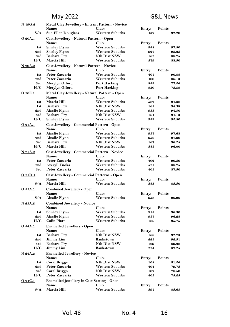| <b>N</b> 19G.2 | Metal Clay Jewellery - Entrant Pattern - Novice   |                        |        |               |
|----------------|---------------------------------------------------|------------------------|--------|---------------|
|                | Name:                                             | Club:                  | Entry: | Points:       |
| S/A            | <b>Sue-Ellen Douglass</b>                         | <b>Western Suburbs</b> | 437    | 92.20         |
| O 20A.1        | Cast Jewellery - Natural Pattern - Open           |                        |        |               |
|                | Name:                                             | Club:                  | Entry: | Points:       |
| 1st            | <b>Shirley Flynn</b>                              | <b>Western Suburbs</b> | 928    | 97.50         |
| 2nd            | <b>Shirley Flynn</b>                              | <b>Western Suburbs</b> | 927    | 93.25         |
| 3rd            | <b>Barbara Try</b>                                | <b>Nth Dist NSW</b>    | 162    | 88.75         |
| H/C            | Marcia Hill                                       | Western Suburbs        | 579    | 88.50         |
|                |                                                   |                        |        |               |
| N 20A.2        | Cast Jewellery - Natural Pattern - Novice         |                        |        |               |
|                | Name:                                             | Club:                  | Entry: | Points:       |
| 1st            | Peter Zaccaria                                    | <b>Western Suburbs</b> | 401    | 90.88         |
| 2nd            | Peter Zaccaria                                    | <b>Western Suburbs</b> | 400    | 86.13         |
| 3rd            | Merylyn Offord                                    | Port Hacking           | 829    | 77.26         |
| H/C            | Merylyn Offord                                    | Port Hacking           | 830    | 75.38         |
| O 20E.1        | Metal Clay Jewellery - Natural Pattern - Open     |                        |        |               |
|                | Name:                                             | Club:                  | Entry: | Points:       |
| 1st            | Marcia Hill                                       | Western Suburbs        | 582    | 94.38         |
| 1st            | Barbara Try                                       | <b>Nth Dist NSW</b>    | 165    | 94.38         |
| 2nd            | Ainslie Flynn                                     | Western Suburbs        | 955    | 94.30         |
| 3rd            | <b>Barbara Try</b>                                | <b>Nth Dist NSW</b>    | 164    | 94.13         |
| H/C            | <b>Shirley Flynn</b>                              | <b>Western Suburbs</b> | 929    | 92.50         |
|                |                                                   |                        |        |               |
| O 21A.1        | Cast Jewellery - Commercial Pattern - Open        |                        |        |               |
|                | Name:                                             | Club:                  | Entry: | Points:       |
| 1st            | <b>Ainslie Flynn</b>                              | <b>Western Suburbs</b> | 957    | 97.68         |
| 2nd            | <b>Ainslie Flynn</b>                              | <b>Western Suburbs</b> | 956    | 97.00         |
| 3rd            | <b>Barbara Try</b>                                | <b>Nth Dist NSW</b>    | 167    | 96.25         |
| H/C            | Marcia Hill                                       | <b>Western Suburbs</b> | 583    | 96.00         |
| N 21A.2        | Cast Jewellery - Commercial Pattern - Novice      |                        |        |               |
|                | Name:                                             | Club:                  | Entry: | Points:       |
| 1st            | Peter Zaccaria                                    | <b>Western Suburbs</b> | 402    | 90.50         |
| 2nd            | Averyll Enoka                                     | <b>Western Suburbs</b> | 521    | 88.75         |
| 3rd            | Peter Zaccaria                                    | <b>Western Suburbs</b> | 403    | 87.50         |
|                |                                                   |                        |        |               |
| O 21D.1        | Cast Jewellery - Commercial Patterns - Open       |                        |        |               |
|                | Name:                                             | Club:                  | Entry: | Points:       |
| S/A            | Marcia Hill                                       | <b>Western Suburbs</b> | 585    | 85.50         |
| O 23A.1        | <b>Combined Jewellery - Open</b>                  |                        |        |               |
|                | Name:                                             | Club:                  | Entry: | Points:       |
| S/A            | <b>Ainslie Flynn</b>                              | Western Suburbs        | 958    | 96.96         |
| N 23A.2        | <b>Combined Jewellery - Novice</b>                |                        |        |               |
|                | Name:                                             | Club:                  | Entry: | Points:       |
| 1st            | <b>Shirley Flynn</b>                              | <b>Western Suburbs</b> | 913    | 96.30         |
| 2nd            | <b>Ainslie Flynn</b>                              | <b>Western Suburbs</b> | 937    | 96.28         |
| H/C            | <b>Colin Platt</b>                                | <b>Western Suburbs</b> | 186    | 95.75         |
|                |                                                   |                        |        |               |
| O 24A.1        | <b>Enamelled Jewellery - Open</b>                 |                        |        |               |
|                | Name:                                             | Club:                  | Entry: | Points:       |
| 1st            | <b>Barbara Try</b>                                | <b>Nth Dist NSW</b>    | 168    | 92.73         |
| 2nd            | Jimmy Lim                                         | <b>Bankstown</b>       | 223    | 92.51         |
| 3rd            | <b>Barbara Try</b>                                | <b>Nth Dist NSW</b>    | 169    | 89.28         |
| H/C            | Jimmy Lim                                         | Bankstown              | 224    | 87.25         |
| N 24A.2        | <b>Enamelled Jewellery - Novice</b>               |                        |        |               |
|                | Name:                                             | Club:                  | Entry: | Points:       |
| 1st            | <b>Coral Briggs</b>                               | <b>Nth Dist NSW</b>    | 108    | 81.26         |
| 2nd            | Peter Zaccaria                                    | <b>Western Suburbs</b> | 404    | 79.75         |
| 3rd            | <b>Coral Briggs</b>                               | <b>Nth Dist NSW</b>    | 107    | 78.50         |
| H/C            | Peter Zaccaria                                    | <b>Western Suburbs</b> | 405    | ${\bf 75.25}$ |
|                |                                                   |                        |        |               |
| 0.24C.1        | <b>Enamelled jewellery in Cast Setting - Open</b> |                        |        |               |
|                | Name:                                             | Club:                  | Entry: | Points:       |
| S/A            | Marcia Hill                                       | Western Suburbs        | 591    | 85.63         |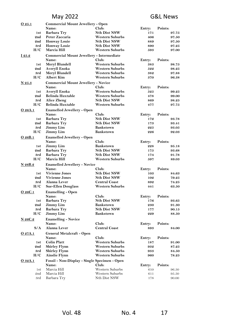| 025.1          | <b>Commercial Mount Jewellery - Open</b>      |                        |        |         |
|----------------|-----------------------------------------------|------------------------|--------|---------|
|                | Name:                                         | Club:                  | Entry: | Points: |
| 1st            | <b>Barbara Try</b>                            | <b>Nth Dist NSW</b>    | 171    | 97.75   |
| 2nd            | Peter Zaccaria                                | <b>Western Suburbs</b> | 406    | 97.50   |
| 2nd            | <b>Honway Louie</b>                           | <b>Nth Dist NSW</b>    | 889    | 97.50   |
| 3rd            | <b>Honway Louie</b>                           | <b>Nth Dist NSW</b>    | 890    | 97.25   |
| H/C            | Marcia Hill                                   | Western Suburbs        | 593    | 97.00   |
| I 25.2         | Commercial Mount Jewellery - Intermediate     |                        |        |         |
|                | Name:                                         | Club:                  | Entry: | Points: |
| 1st            | Meryl Blundell                                | <b>Western Suburbs</b> | 383    | 98.75   |
| 2nd            | Averyll Enoka                                 | <b>Western Suburbs</b> | 522    | 98.25   |
| 3rd            | Meryl Blundell                                | <b>Western Suburbs</b> | 382    | 97.88   |
| H/C            | <b>Albert Kim</b>                             | <b>Western Suburbs</b> | 370    | 96.38   |
|                |                                               |                        |        |         |
| $N$ 25.3       | <b>Commercial Mount Jewellery - Novice</b>    |                        |        | Points: |
|                | Name:                                         | Club:                  | Entry: |         |
| 1st            | Averyll Enoka                                 | Western Suburbs        | 525    | 99.25   |
| 2nd            | <b>Belinda Huxtable</b>                       | <b>Western Suburbs</b> | 478    | 99.00   |
| 3rd            | Alice Zheng                                   | <b>Nth Dist NSW</b>    | 869    | 98.25   |
| H/C            | Belinda Huxtable                              | <b>Western Suburbs</b> | 477    | 97.75   |
| O 26A.1        | <b>Enamelled Jewellery - Open</b>             |                        |        |         |
|                | Name:                                         | Club:                  | Entry: | Points: |
| 1st            | <b>Barbara Try</b>                            | <b>Nth Dist NSW</b>    | 172    | 93.78   |
| 2nd            | <b>Barbara Try</b>                            | <b>Nth Dist NSW</b>    | 173    | 93.41   |
| 3rd            | <b>Jimmy Lim</b>                              | Bankstown              | 225    | 93.05   |
| H/C            | <b>Jimmy Lim</b>                              | Bankstown              | 226    | 92.03   |
| O 26B.1        | <b>Enamelled Jewellery - Open</b>             |                        |        |         |
|                | Name:                                         | Club:                  | Entry: | Points: |
| 1st            | Jimmy Lim                                     | <b>Bankstown</b>       | 228    | 95.18   |
| 2nd            | <b>Barbara Try</b>                            | <b>Nth Dist NSW</b>    | 175    | 93.68   |
|                |                                               | <b>Nth Dist NSW</b>    |        |         |
| 3rd<br>H/C     | <b>Barbara Try</b>                            | Western Suburbs        | 174    | 91.78   |
|                | Marcia Hill                                   |                        | 597    | 89.03   |
| N 26B.2        | <b>Enamelled Jewellery - Novice</b>           |                        |        |         |
|                | Name:                                         | Club:                  | Entry: | Points: |
| 1st            | <b>Vivienne Jones</b>                         | <b>Nth Dist NSW</b>    | 103    | 84.63   |
| 2nd            | <b>Vivienne Jones</b>                         | <b>Nth Dist NSW</b>    | 102    | 79.25   |
| 3rd            | Alanna Lever                                  | <b>Central Coast</b>   | 892    | 74.25   |
| H/C            | <b>Sue-Ellen Douglass</b>                     | Western Suburbs        | 441    | 63.50   |
| O 26C.1        | <b>Enamelling - Open</b>                      |                        |        |         |
|                | Name:                                         | Club:                  | Entry: | Points: |
| 1st            | <b>Barbara Try</b>                            | <b>Nth Dist NSW</b>    | 176    | 93.65   |
| 2nd            | <b>Jimmy Lim</b>                              | Bankstown              | 230    | 91.30   |
| 3rd            | <b>Barbara Try</b>                            | <b>Nth Dist NSW</b>    | 177    | 90.15   |
| H/C            | <b>Jimmy Lim</b>                              | <b>Bankstown</b>       | 229    | 88.50   |
|                |                                               |                        |        |         |
| <u>N 26C.2</u> | <b>Enamelling - Novice</b><br>Name:           | Club:                  |        | Points: |
| S/A            |                                               |                        | Entry: |         |
|                | Alanna Lever                                  | <b>Central Coast</b>   | 893    | 84.00   |
| O 27A.1        | General Metalcraft - Open                     |                        |        |         |
|                | Name:                                         | Club:                  | Entry: | Points: |
| 1st            | <b>Colin Platt</b>                            | <b>Western Suburbs</b> | 187    | 91.00   |
| 2nd            | <b>Shirley Flynn</b>                          | <b>Western Suburbs</b> | 932    | 87.25   |
| 3rd            | <b>Shirley Flynn</b>                          | <b>Western Suburbs</b> | 933    | 84.50   |
| H/C            | <b>Ainslie Flynn</b>                          | <b>Western Suburbs</b> | 960    | 78.25   |
| O 32A.1        | Fossil - Non-Display - Single Specimen - Open |                        |        |         |
|                | Name:                                         | Club:                  | Entry: | Points: |
| 1st            | Marcia Hill                                   | Western Suburbs        | 610    | 96.50   |
| 2nd            | Marcia Hill                                   | Western Suburbs        | 611    | 95.50   |
| 3rd            | Barbara Try                                   | Nth Dist NSW           | 178    | 90.00   |
|                |                                               |                        |        |         |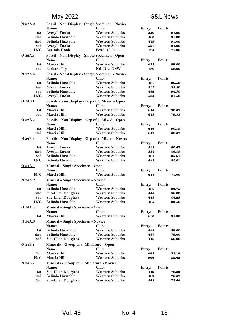| <u>N 32A.2</u> |                                                | Fossil - Non-Display - Single Specimen - Novice  |        |                |
|----------------|------------------------------------------------|--------------------------------------------------|--------|----------------|
|                | Name:                                          | Club:                                            | Entry: | Points:        |
| 1st            | Averyll Enoka                                  | <b>Western Suburbs</b>                           | 530    | 97.00          |
| 2nd            | <b>Belinda Huxtable</b>                        | <b>Western Suburbs</b>                           | 480    | 91.00          |
| 2nd            | <b>Belinda Huxtable</b>                        | <b>Western Suburbs</b>                           | 479    | 91.00          |
| 3rd            | Averyll Enoka                                  | <b>Western Suburbs</b>                           | 531    | 84.00          |
| H/C            | Lucinda Hook                                   | <b>Fossil Club</b>                               | 123    | 77.00          |
| O 32A.3        | Fossil - Non-Display - Single Specimen - Open  |                                                  |        |                |
|                | Name:                                          | Club:                                            | Entry: | Points:        |
| 1st            | Marcia Hill                                    | <b>Western Suburbs</b>                           | 613    | 99.00          |
| 3rd            | <b>Barbara Try</b>                             | <b>Nth Dist NSW</b>                              | 180    | 88.00          |
|                |                                                |                                                  |        |                |
| N 32A.4        |                                                | Fossil - Non-Display - Single Specimen - Novice  |        |                |
|                | Name:                                          | Club:                                            | Entry: | Points:        |
| 1st            | <b>Belinda Huxtable</b>                        | <b>Western Suburbs</b>                           | 481    | 96.50          |
| 2nd            | Averyll Enoka                                  | <b>Western Suburbs</b>                           | 532    | 95.50          |
| 3rd            | <b>Belinda Huxtable</b>                        | <b>Western Suburbs</b>                           | 482    | 94.50          |
| H/C            | Averyll Enoka                                  | <b>Western Suburbs</b>                           | 533    | 87.50          |
| O 32B.1        | Fossils - Non Display - Grp of 3, Mixed - Open |                                                  |        |                |
|                | Name:                                          | Club:                                            | Entry: | Points:        |
| 1st            | Marcia Hill                                    | <b>Western Suburbs</b>                           | 614    | 90.67          |
| 3rd            | Marcia Hill                                    | <b>Western Suburbs</b>                           | 615    | 79.33          |
| O 32B.2        | Fossils - Non Display - Grp of 3, Mixed - Open |                                                  |        |                |
|                | Name:                                          | Club:                                            | Entry: | Points:        |
| 1st            | Marcia Hill                                    | <b>Western Suburbs</b>                           | 616    | 90.33          |
| 2nd            | Marcia Hill                                    | <b>Western Suburbs</b>                           | 617    | 88.67          |
|                |                                                |                                                  |        |                |
| N 32B.3        |                                                | Fossils - Non Display - Grp of 3, Mixed - Novice |        |                |
|                | Name:                                          | Club:                                            | Entry: | Points:        |
| 1st            | Averyll Enoka                                  | <b>Western Suburbs</b>                           | 535    | 90.67          |
| 2nd            | <b>Averyll Enoka</b>                           | <b>Western Suburbs</b>                           | 534    | 88.33          |
| 3rd            | <b>Belinda Huxtable</b>                        | Western Suburbs                                  | 484    | 85.67          |
| H/C            | Belinda Huxtable                               | <b>Western Suburbs</b>                           | 483    | 82.01          |
| <u>O 34A.1</u> | Mineral - Single Specimen - Open               |                                                  |        |                |
|                | Name:                                          | Club:                                            | Entry: | Points:        |
| H/C            | Marcia Hill                                    | <b>Western Suburbs</b>                           | 618    | 71.00          |
| <b>N</b> 34A.2 | <b>Mineral - Single Specimen - Novice</b>      |                                                  |        |                |
|                | Name:                                          | Club:                                            | Entry: | Points:        |
| 1st            | <b>Belinda Huxtable</b>                        | <b>Western Suburbs</b>                           | 486    | 92.75          |
| 2nd            | <b>Sue-Ellen Douglass</b>                      | <b>Western Suburbs</b>                           | 444    | 86.00          |
| 3rd            | <b>Sue-Ellen Douglass</b>                      | Western Suburbs                                  | 445    | 84.25          |
| H/C            | Belinda Huxtable                               | <b>Western Suburbs</b>                           | 485    | 83.50          |
|                |                                                |                                                  |        |                |
| <u>O 34A.4</u> | Mineral - Single Specimen - Open               |                                                  |        |                |
|                | Name:                                          | Club:                                            | Entry: | Points:        |
| 1st            | Marcia Hill                                    | <b>Western Suburbs</b>                           | 620    | 94.00          |
| <b>N</b> 34A.5 | <b>Mineral - Single Specimen - Novice</b>      |                                                  |        |                |
|                | Name:                                          | Club:                                            | Entry: | Points:        |
| 1st            | <b>Belinda Huxtable</b>                        | <b>Western Suburbs</b>                           | 488    | 88.00          |
| 2nd            | <b>Belinda Huxtable</b>                        | <b>Western Suburbs</b>                           | 487    | 78.00          |
| 3rd            | <b>Sue-Ellen Douglass</b>                      | <b>Western Suburbs</b>                           | 446    | 66.00          |
| O 34B.1        | Minerals - Group of 3, Miniature - Open        |                                                  |        |                |
|                | Name:                                          | Club:                                            | Entry: | Points:        |
| 3rd            | Marcia Hill                                    | <b>Western Suburbs</b>                           | 623    |                |
| H/C            | Marcia Hill                                    |                                                  |        | 84.16<br>83.25 |
|                |                                                | <b>Western Suburbs</b>                           | 622    |                |
| N 34B.2        | Minerals - Group of 3, Miniature - Novice      |                                                  |        |                |
|                | Name:                                          | Club:                                            | Entry: | Points:        |
| 1st            | <b>Sue-Ellen Douglass</b>                      | <b>Western Suburbs</b>                           | 449    | 78.33          |
| 2nd            | <b>Belinda Huxtable</b>                        | <b>Western Suburbs</b>                           | 489    | 76.67          |
| 3rd            | <b>Sue-Ellen Douglass</b>                      | Western Suburbs                                  | 448    | 73.66          |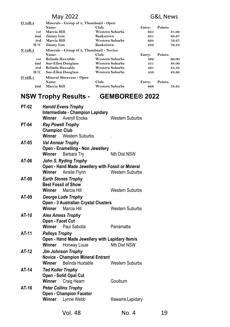| O 34B.4 | Minerals - Group of 3, Thumbnail - Open   |                        |              |         |  |
|---------|-------------------------------------------|------------------------|--------------|---------|--|
|         | Name:                                     | Entry:                 | Points:      |         |  |
| 1st     | Marcia Hill                               | <b>Western Suburbs</b> | 625          | 81.00   |  |
| 2nd     | Jimmy Lim                                 | <b>Bankstown</b>       | 231          | 80.67   |  |
| 3rd     | Marcia Hill                               | <b>Western Suburbs</b> | 76.67<br>624 |         |  |
| H/C     | Jimmy Lim                                 | <b>Bankstown</b>       | 232          | 76.33   |  |
| N 34B.5 | Minerals - Group of 3, Thumbnail - Novice |                        |              |         |  |
|         | Name:                                     | Club:                  | Entry:       | Points: |  |
| 1st     | <b>Belinda Huxtable</b>                   | <b>Western Suburbs</b> | 492          | 90.00   |  |
| 2nd     | <b>Sue-Ellen Douglass</b>                 | <b>Western Suburbs</b> | 451          | 88.00   |  |
| 3rd     | <b>Belinda Huxtable</b>                   | <b>Western Suburbs</b> | 491          | 84.33   |  |
| H/C     | <b>Sue-Ellen Douglass</b>                 | <b>Western Suburbs</b> | 450          | 83.66   |  |
| O 38B.1 | Mineral Showcase - Open                   |                        |              |         |  |
|         | Name:                                     | Club:                  | Entry:       | Points: |  |
| 2nd     | Marcia Hill                               | <b>Western Suburbs</b> | 626          | 78.65   |  |

# **NSW Trophy Results - GEMBOREE® 2022**

| <b>PT-02</b>                                               | Winner                                           | <b>Harold Evans Trophy</b><br><b>Intermediate - Champion Lapidary</b><br>Averyll Enoka | Western Suburbs        |  |
|------------------------------------------------------------|--------------------------------------------------|----------------------------------------------------------------------------------------|------------------------|--|
| <b>PT-04</b>                                               | <b>Ray Powell Trophy</b><br><b>Champion Club</b> |                                                                                        |                        |  |
|                                                            | Winner                                           | Western Suburbs                                                                        |                        |  |
| AT-05                                                      | <b>Val Annear Trophy</b>                         |                                                                                        |                        |  |
|                                                            |                                                  | Open - Enamelling - Non Jewellery                                                      |                        |  |
|                                                            | Winner                                           | Barbara Try                                                                            | Nth Dist NSW           |  |
| AT-06                                                      |                                                  | John S. Ryding Trophy                                                                  |                        |  |
|                                                            |                                                  | Open - Hand Made Jewellery with Fossil or Mineral                                      | <b>Western Suburbs</b> |  |
|                                                            | Winner                                           | Ainslie Flynn                                                                          |                        |  |
| AT-08                                                      |                                                  | <b>Earth Stones Trophy</b><br><b>Best Fossil of Show</b>                               |                        |  |
|                                                            | Winner                                           | Marcia Hill                                                                            | <b>Western Suburbs</b> |  |
| AT-09                                                      |                                                  |                                                                                        |                        |  |
| George Lude Trophy<br>Open - 3 Australian Crystal Clusters |                                                  |                                                                                        |                        |  |
|                                                            | Winner                                           | Marcia Hill                                                                            | Western Suburbs        |  |
| AT-10                                                      |                                                  | <b>Alex Amess Trophy</b>                                                               |                        |  |
|                                                            | Open - Facet Cut                                 |                                                                                        |                        |  |
|                                                            |                                                  | Winner Paul Sabolta                                                                    | Parramatta             |  |
| AT-11                                                      | <b>Palloys Trophy</b>                            |                                                                                        |                        |  |
|                                                            |                                                  | Open - Hand Made Jewellery with Lapidary Item/s                                        |                        |  |
|                                                            | Winner                                           | Honway Louie                                                                           | <b>Nth Dist NSW</b>    |  |
| AT-12                                                      |                                                  | <b>Jim Johnson Trophy</b>                                                              |                        |  |
|                                                            |                                                  | <b>Novice - Champion Mineral Entrant</b>                                               |                        |  |
|                                                            |                                                  | Winner Belinda Huxtable                                                                | Western Suburbs        |  |
| AT-14                                                      | <b>Ted Koller Trophy</b>                         |                                                                                        |                        |  |
|                                                            |                                                  | Open - Solid Opal Cut                                                                  |                        |  |
|                                                            | Winner                                           | Craig Hearn                                                                            | Goulburn               |  |
| AT-16                                                      |                                                  | <b>Peter Collins Trophy</b>                                                            |                        |  |
|                                                            | Winner                                           | <b>Open - Champion Facetor</b><br>Lynne Webb                                           | Illawarra Lapidary     |  |
|                                                            |                                                  |                                                                                        |                        |  |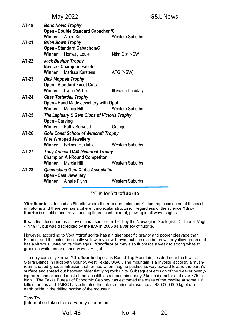| AT-18                                | <b>Boris Novic Trophy</b>                                     |                                        |                    |  |
|--------------------------------------|---------------------------------------------------------------|----------------------------------------|--------------------|--|
|                                      |                                                               | Open - Double Standard Cabachon/C      |                    |  |
|                                      | Winner                                                        | Albert Kim                             | Western Suburbs    |  |
| AT-21                                |                                                               | Brian Bown Trophy                      |                    |  |
|                                      |                                                               | Open - Standard Cabachon/C             |                    |  |
|                                      | Winner                                                        | Honway Louie                           | Nthn Dist NSW      |  |
| AT-22                                |                                                               | Jack Bushby Trophy                     |                    |  |
|                                      |                                                               | <b>Novice - Champion Facetor</b>       |                    |  |
|                                      |                                                               | <b>Winner</b> Marissa Karstens         | AFG (NSW)          |  |
| AT-23                                |                                                               | Dick Moppett Trophy                    |                    |  |
|                                      |                                                               | <b>Open - Standard Facet Cuts</b>      |                    |  |
|                                      | Winner                                                        | Lynne Webb                             | Illawarra Lapidary |  |
| AT-24                                |                                                               | <b>Chas Totterdell Trophy</b>          |                    |  |
|                                      |                                                               | Open - Hand Made Jewellery with Opal   |                    |  |
|                                      | Winner                                                        | Marcia Hill                            | Western Suburbs    |  |
| AT-25                                | The Lapidary & Gem Clubs of Victoria Trophy<br>Open - Carving |                                        |                    |  |
|                                      |                                                               |                                        |                    |  |
|                                      |                                                               | Winner Kathy Selwood                   | Orange             |  |
| AT-26                                | <b>Gold Coast School of Wirecraft Trophy</b>                  |                                        |                    |  |
| <b>Wire Wrapped Jewellery</b>        |                                                               |                                        |                    |  |
|                                      |                                                               | Winner Belinda Huxtable                | Western Suburbs    |  |
| AT-27                                |                                                               | <b>Tony Annear OAM Memorial Trophy</b> |                    |  |
| <b>Champion All-Round Competitor</b> |                                                               |                                        |                    |  |
|                                      | Winner                                                        | Marcia Hill                            | Western Suburbs    |  |
| AT-28                                |                                                               | Queensland Gem Clubs Association       |                    |  |
|                                      | <b>Open - Cast Jewellery</b>                                  |                                        |                    |  |
|                                      | Winner                                                        | Ainslie Flynn                          | Western Suburbs    |  |
|                                      |                                                               |                                        |                    |  |

"Y" is for **Yttrofluorite**

**Yttrofluorite** is defined as Fluorite where the rare earth element Yttrium replaces some of the calcium atoms and therefore has a different molecular structure. Regardless of the science **Yttrofluorite** is a subtle and truly stunning fluorescent mineral, glowing in all wavelengths

It was first described as a new mineral species in 1911 by the Norwegian Geologist -Dr Thorolf Vogt - in 1911, but was discredited by the IMA in 2006 as a variety of fluorite.

However, according to Vogt **Yttrofluorite** has a higher specific gravity and poorer cleavage than Fluorite, and the colour is usually yellow to yellow-brown, but can also be brown or yellow-green and has a vitreous lustre on its cleavages.. **Yttrofluorite** may also fluoresce a weak to strong white to greenish white under a short wave UV light.

The only currently known **Yttrofluorite** deposit is Round Top Mountain, located near the town of Sierra Blanca in Hudspeth County, west Texas, USA . The mountain is a rhyolite laccolith, a mushroom-shaped igneous intrusion that formed when magma pushed its way upward toward the earth's surface and spread out between older flat lying rock units. Subsequent erosion of the weaker overlying rocks has exposed most of the laccolith as a mountain nearly 2 km in diameter and over 375 m high . The Texas Bureau of Economic Geology has estimated the mass of the rhyolite at some 1.6 billion tonnes and TMRC has estimated the inferred mineral resource at 430,000,000 kg of rare earth oxide in the drilled portion of the mountain

Tony Try [Information taken from a variety of sources]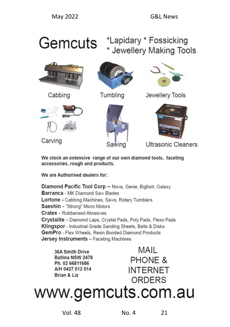# \*Lapidary \* Fossicking Gemcuts \* Jewellery Making Tools



Cabbing



Tumbling



Jewellery Tools



Carving





**Ultrasonic Cleaners** 

We stock an extensive range of our own diamond tools, faceting accessories, rough and products.

We are Authorised dealers for:

Diamond Pacific Tool Corp - Nova, Genie, Bigfoot, Galaxy Barranca - MK Diamond Saw Blades Lortone - Cabbing Machines, Saws, Rotary Tumblers Saeshin - "Strong" Micro Motors **Cratex - Rubberised Abrasives** Crystalite - Diamond Laps, Crystal Pads, Poly Pads, Flexo Pads Klingspor - Industrial Grade Sanding Sheets, Belts & Disks GemPro - Flex Wheels, Resin Bonded Diamond Products **Jersey Instruments - Faceting Machines** 

**36A Smith Drive** Ballina NSW 2478 Ph. 02 66811686 A/H 0427 012 014 Brian & Liz

MAII PHONE & **INTERNET** ORDERS

www.gemcuts.com.au

Vol. 48 No. 4 21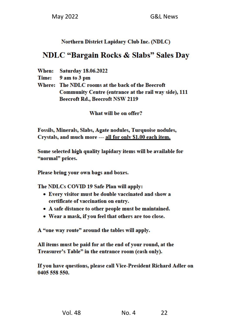# **Northern District Lapidary Club Inc. (NDLC)**

# **NDLC "Bargain Rocks & Slabs" Sales Day**

- When: **Saturday 18.06.2022**
- **Time:** 9 am to 3 pm

Where: The NDLC rooms at the back of the Beecroft Community Centre (entrance at the rail way side), 111 **Beecroft Rd., Beecroft NSW 2119** 

What will be on offer?

Fossils, Minerals, Slabs, Agate nodules, Turquoise nodules, Crystals, and much more --- all for only \$1.00 each item.

Some selected high quality lapidary items will be available for "normal" prices.

Please bring your own bags and boxes.

The NDLCs COVID 19 Safe Plan will apply:

- Every visitor must be double vaccinated and show a certificate of vaccination on entry.
- A safe distance to other people must be maintained.
- Wear a mask, if you feel that others are too close.

A "one way route" around the tables will apply.

All items must be paid for at the end of your round, at the Treasurer's Table" in the entrance room (cash only).

If you have questions, please call Vice-President Richard Adler on 0405 558 550.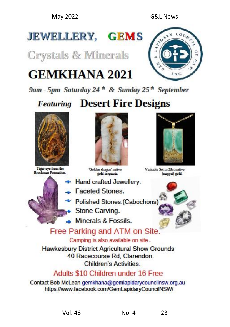# **JEWELLERY, GEMS**

**Crystals & Minerals** 

# **GEMKHANA 2021**



9am - 5pm Saturday 24<sup>th</sup> & Sunday 25<sup>th</sup> September

# **Featuring Desert Fire Designs**



Tiger eye from the **Brockman Formation** 



'Golden dragon' native sold in quartz.

- + Hand crafted Jewellery.
	- Faceted Stones.
		- Polished Stones.(Cabochons)
		- Stone Carving.
- $\triangle$  Minerals & Fossils.



Variorite Set in 23rt native (nugget) gold.



# Free Parking and ATM on Site

Camping is also available on site.

**Hawkesbury District Agricultural Show Grounds** 40 Racecourse Rd. Clarendon. **Children's Activities** 

# Adults \$10 Children under 16 Free

Contact Bob McLean gemkhana@gemlapidarycouncilnsw.org.au https://www.facebook.com/GemLapidaryCouncilNSW/